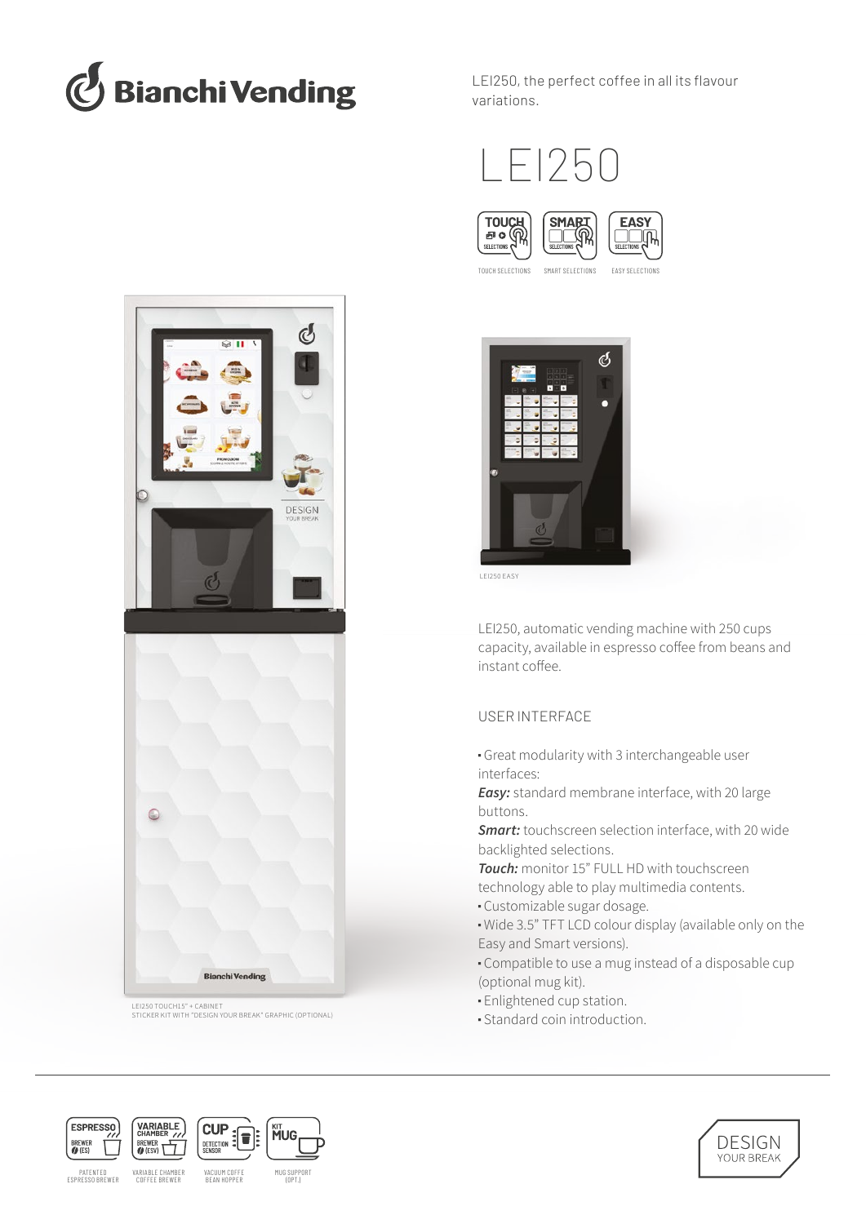

LEI250, the perfect coffee in all its flavour variations.





TOUCH SELECTIONS SMART SELECTIONS EASY SELECTIONS



LEI250 EASY

LEI250, automatic vending machine with 250 cups capacity, available in espresso coffee from beans and instant coffee.

# USER INTERFACE

- Great modularity with 3 interchangeable user interfaces:
- *Easy:* standard membrane interface, with 20 large buttons.
- *Smart:* touchscreen selection interface, with 20 wide backlighted selections.
- *Touch:* monitor 15" FULL HD with touchscreen technology able to play multimedia contents.
- Customizable sugar dosage.
- Wide 3.5" TFT LCD colour display (available only on the Easy and Smart versions).
- Compatible to use a mug instead of a disposable cup (optional mug kit).
- Enlightened cup station.
- Standard coin introduction.



LEI250 TOUCH15" + CABINET STICKER KIT WITH "DESIGN YOUR BREAK" GRAPHIC (OPTIONAL)

**Bianchi Vending**